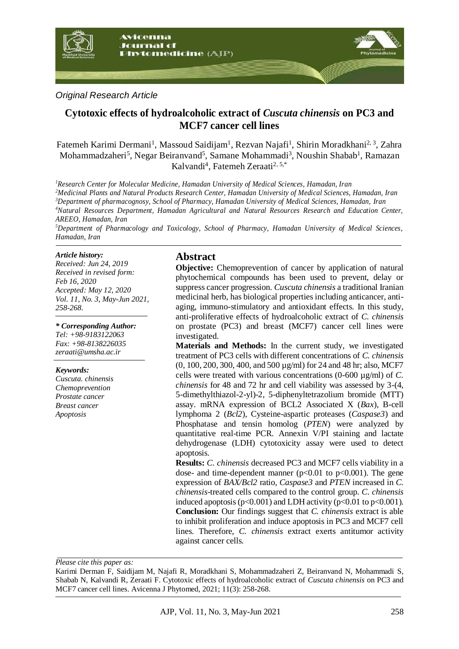

*Original Research Article*

# **Cytotoxic effects of hydroalcoholic extract of** *Cuscuta chinensis* **on PC3 and MCF7 cancer cell lines**

Fatemeh Karimi Dermani<sup>1</sup>, Massoud Saidijam<sup>1</sup>, Rezvan Najafi<sup>1</sup>, Shirin Moradkhani<sup>2, 3</sup>, Zahra Mohammadzaheri<sup>5</sup>, Negar Beiranvand<sup>5</sup>, Samane Mohammadi<sup>3</sup>, Noushin Shabab<sup>1</sup>, Ramazan Kalvandi<sup>4</sup>, Fatemeh Zeraati<sup>2, 5,\*</sup>

*Research Center for Molecular Medicine, Hamadan University of Medical Sciences, Hamadan, Iran Medicinal Plants and Natural Products Research Center, Hamadan University of Medical Sciences, Hamadan, Iran Department of pharmacognosy, School of Pharmacy, Hamadan University of Medical Sciences, Hamadan, Iran Natural Resources Department, Hamadan Agricultural and Natural Resources Research and Education Center, AREEO, Hamadan, Iran*

*<sup>5</sup>Department of Pharmacology and Toxicology, School of Pharmacy, Hamadan University of Medical Sciences, Hamadan, Iran*

#### *Article history:*

*Received: Jun 24, 2019 Received in revised form: Feb 16, 2020 Accepted: May 12, 2020 Vol. 11, No. 3, May-Jun 2021, 258-268.*

#### *\* Corresponding Author:*

*Tel: +98-9183122063 Fax: +98-8138226035 zeraati@umsha.ac.ir*

#### *Keywords:*

*Cuscuta. chinensis Chemoprevention Prostate cancer Breast cancer Apoptosis* 

## **Abstract**

**Objective:** Chemoprevention of cancer by application of natural phytochemical compounds has been used to prevent, delay or suppress cancer progression. *Cuscuta chinensis* a traditional Iranian medicinal herb, has biological properties including anticancer, antiaging, immuno-stimulatory and antioxidant effects. In this study, anti-proliferative effects of hydroalcoholic extract of *C. chinensis* on prostate (PC3) and breast (MCF7) cancer cell lines were investigated.

**Materials and Methods:** In the current study, we investigated treatment of PC3 cells with different concentrations of *C. chinensis* (0, 100, 200, 300, 400, and 500 µg/ml) for 24 and 48 hr; also, MCF7 cells were treated with various concentrations (0-600 µg/ml) of *C. chinensis* for 48 and 72 hr and cell viability was assessed by 3-(4, 5-dimethylthiazol-2-yl)-2, 5-diphenyltetrazolium bromide (MTT) assay. mRNA expression of BCL2 Associated X (*Bax*), B-cell lymphoma 2 (*Bcl2*), Cysteine-aspartic proteases (*Caspase3*) and Phosphatase and tensin homolog (*PTEN*) were analyzed by quantitative real-time PCR. Annexin V/PI staining and lactate dehydrogenase (LDH) cytotoxicity assay were used to detect apoptosis.

**Results:** *C. chinensis* decreased PC3 and MCF7 cells viability in a dose- and time-dependent manner ( $p<0.01$  to  $p<0.001$ ). The gene expression of *BAX/Bcl2* ratio, *Caspase3* and *PTEN* increased in *C. chinensis*-treated cells compared to the control group. *C. chinensis* induced apoptosis ( $p<0.001$ ) and LDH activity ( $p<0.01$  to  $p<0.001$ ). **Conclusion:** Our findings suggest that *C. chinensis* extract is able to inhibit proliferation and induce apoptosis in PC3 and MCF7 cell lines. Therefore, *C. chinensis* extract exerts antitumor activity against cancer cells.

*Please cite this paper as:* 

Karimi Derman F, Saidijam M, Najafi R, Moradkhani S, Mohammadzaheri Z, Beiranvand N, Mohammadi S, Shabab N, Kalvandi R, Zeraati F. Cytotoxic effects of hydroalcoholic extract of *Cuscuta chinensis* on PC3 and MCF7 cancer cell lines. Avicenna J Phytomed, 2021; 11(3): 258-268.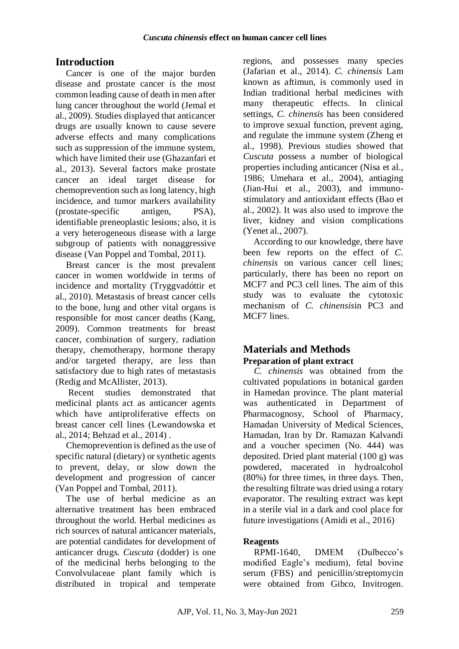# **Introduction**

Cancer is one of the major burden disease and prostate cancer is the most common leading cause of death in men after lung cancer throughout the world (Jemal et al., 2009). Studies displayed that anticancer drugs are usually known to cause severe adverse effects and many complications such as suppression of the immune system, which have limited their use (Ghazanfari et al., 2013). Several factors make prostate cancer an ideal target disease for chemoprevention such as long latency, high incidence, and tumor markers availability (prostate-specific antigen, PSA), identifiable preneoplastic lesions; also, it is a very heterogeneous disease with a large subgroup of patients with nonaggressive disease (Van Poppel and Tombal, 2011).

Breast cancer is the most prevalent cancer in women worldwide in terms of incidence and mortality (Tryggvadóttir et al., 2010). Metastasis of breast cancer cells to the bone, lung and other vital organs is responsible for most cancer deaths (Kang, 2009). Common treatments for breast cancer, combination of surgery, radiation therapy, chemotherapy, hormone therapy and/or targeted therapy, are less than satisfactory due to high rates of metastasis (Redig and McAllister, 2013).

Recent studies demonstrated that medicinal plants act as anticancer agents which have antiproliferative effects on breast cancer cell lines (Lewandowska et al., 2014; Behzad et al., 2014) .

Chemoprevention is defined as the use of specific natural (dietary) or synthetic agents to prevent, delay, or slow down the development and progression of cancer (Van Poppel and Tombal, 2011).

The use of herbal medicine as an alternative treatment has been embraced throughout the world. Herbal medicines as rich sources of natural anticancer materials, are potential candidates for development of anticancer drugs. *Cuscuta* (dodder) is one of the medicinal herbs belonging to the Convolvulaceae plant family which is distributed in tropical and temperate

regions, and possesses many species (Jafarian et al., 2014). *C. chinensis* Lam known as aftimun, is commonly used in Indian traditional herbal medicines with many therapeutic effects. In clinical settings, *C. chinensis* has been considered to improve sexual function, prevent aging, and regulate the immune system (Zheng et al., 1998). Previous studies showed that *Cuscuta* possess a number of biological properties including anticancer (Nisa et al., 1986; Umehara et al., 2004), antiaging (Jian-Hui et al., 2003), and immunostimulatory and antioxidant effects (Bao et al., 2002). It was also used to improve the liver, kidney and vision complications (Yenet al., 2007).

According to our knowledge, there have been few reports on the effect of *C. chinensis* on various cancer cell lines; particularly, there has been no report on MCF7 and PC3 cell lines. The aim of this study was to evaluate the cytotoxic mechanism of *C. chinensis*in PC3 and MCF7 lines.

# **Materials and Methods**

# **Preparation of plant extract**

*C. chinensis* was obtained from the cultivated populations in botanical garden in Hamedan province. The plant material was authenticated in Department of Pharmacognosy, School of Pharmacy, Hamadan University of Medical Sciences, Hamadan, Iran by Dr. Ramazan Kalvandi and a voucher specimen (No. 444) was deposited. Dried plant material (100 g) was powdered, macerated in hydroalcohol (80%) for three times, in three days. Then, the resulting filtrate was dried using a rotary evaporator. The resulting extract was kept in a sterile vial in a dark and cool place for future investigations (Amidi et al., 2016)

## **Reagents**

RPMI-1640, DMEM (Dulbecco's modified Eagle's medium), fetal bovine serum (FBS) and penicillin/streptomycin were obtained from Gibco, Invitrogen.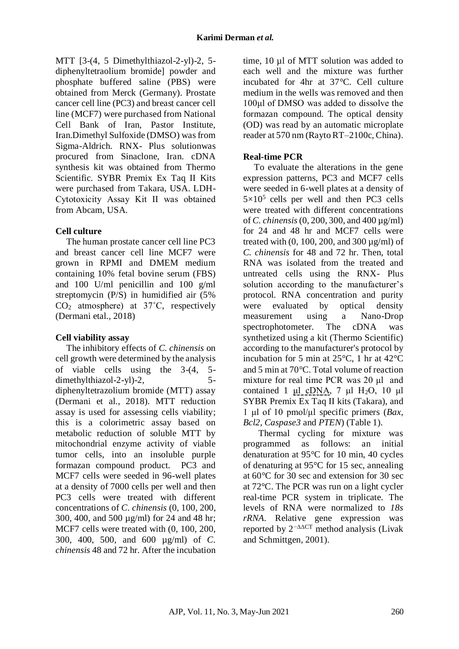MTT [3-(4, 5 Dimethylthiazol-2-yl)-2, 5 diphenyltetraolium bromide] powder and phosphate buffered saline (PBS) were obtained from Merck (Germany). Prostate cancer cell line (PC3) and breast cancer cell line (MCF7) were purchased from National Cell Bank of Iran, Pastor Institute, Iran.Dimethyl Sulfoxide (DMSO) was from Sigma-Aldrich. RNX- Plus solutionwas procured from Sinaclone, Iran. cDNA synthesis kit was obtained from Thermo Scientific. SYBR Premix Ex Taq II Kits were purchased from Takara, USA. LDH-Cytotoxicity Assay Kit ΙΙ was obtained from Abcam, USA.

## **Cell culture**

The human prostate cancer cell line PC3 and breast cancer cell line MCF7 were grown in RPMI and DMEM medium containing 10% fetal bovine serum (FBS) and 100 U/ml penicillin and 100 g/ml streptomycin (P/S) in humidified air (5%  $CO<sub>2</sub>$  atmosphere) at 37 $°C$ , respectively (Dermani etal., 2018)

## **Cell viability assay**

The inhibitory effects of *C. chinensis* on cell growth were determined by the analysis of viable cells using the 3-(4, 5 dimethylthiazol-2-yl)-2, 5diphenyltetrazolium bromide (MTT) assay (Dermani et al., 2018). MTT reduction assay is used for assessing cells viability; this is a colorimetric assay based on metabolic reduction of soluble MTT by mitochondrial enzyme activity of viable tumor cells, into an insoluble purple formazan compound product. PC3 and MCF7 cells were seeded in 96-well plates at a density of 7000 cells per well and then PC3 cells were treated with different concentrations of *C. chinensis* (0, 100, 200, 300, 400, and 500 µg/ml) for 24 and 48 hr; MCF7 cells were treated with (0, 100, 200, 300, 400, 500, and 600 µg/ml) of *C. chinensis* 48 and 72 hr. After the incubation time, 10 µl of MTT solution was added to each well and the mixture was further incubated for 4hr at 37°C. Cell culture medium in the wells was removed and then 100μl of DMSO was added to dissolve the formazan compound. The optical density (OD) was read by an automatic microplate reader at 570 nm (Rayto RT–2100c, China).

# **Real-time PCR**

To evaluate the alterations in the gene expression patterns, PC3 and MCF7 cells were seeded in 6-well plates at a density of  $5 \times 10^5$  cells per well and then PC3 cells were treated with different concentrations of *C. chinensis* (0, 200, 300, and 400 µg/ml) for 24 and 48 hr and MCF7 cells were treated with  $(0, 100, 200,$  and  $300 \mu$ g/ml $)$  of *C. chinensis* for 48 and 72 hr. Then, total RNA was isolated from the treated and untreated cells using the RNX- Plus solution according to the manufacturer's protocol. RNA concentration and purity were evaluated by optical density measurement using a Nano-Drop spectrophotometer. The cDNA was synthetized using a kit (Thermo Scientific) according to the manufacturer's protocol by incubation for 5 min at 25°C, 1 hr at 42°C and 5 min at 70°C. Total volume of reaction mixture for real time PCR was 20 μl and contained 1 μl cDNA, 7 μl H<sub>2</sub>O, 10 μl SYBR Premix Ex Taq II kits (Takara), and 1 μl of 10 pmol/μl specific primers (*Bax*, *Bcl2*, *Caspase3* and *PTEN*) (Table 1).

 Thermal cycling for mixture was programmed as follows: an initial denaturation at 95°C for 10 min, 40 cycles of denaturing at 95°C for 15 sec, annealing at 60°C for 30 sec and extension for 30 sec at 72°C. The PCR was run on a light cycler real-time PCR system in triplicate. The levels of RNA were normalized to *18s rRNA*. Relative gene expression was reported by 2−∆∆CT method analysis (Livak and Schmittgen, 2001).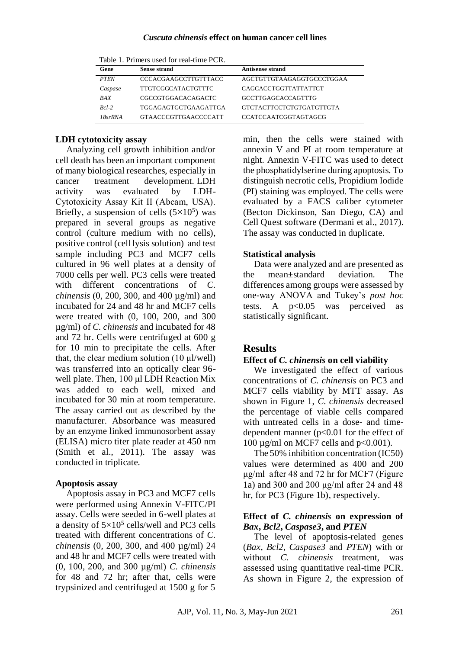#### *Cuscuta chinensis* **effect on human cancer cell lines**

| TADIO T. FIIRRO GOOD IVI TOM CHIIC FOR. |                             |                                 |
|-----------------------------------------|-----------------------------|---------------------------------|
| Gene                                    | <b>Sense strand</b>         | <b>Antisense strand</b>         |
| <b>PTEN</b>                             | <b>CCCACGAAGCCTTGTTTACC</b> | AGCTGTTGTAAGAGGTGCCCTGGAA       |
| Caspase                                 | <b>TTGTCGGCATACTGTTTC</b>   | CAGCACCTGGTTATTATTCT            |
| BAX                                     | CGCCGTGGACACAGACTC          | <b>GCCTTGAGCACCAGTTTG</b>       |
| $Rcl-2$                                 | TGGAGAGTGCTGAAGATTGA        | <b>GTCTACTTCCTCTGTGATGTTGTA</b> |
| $18$ sr $RNA$                           | GTAACCCGTTGAACCCCATT        | <b>CCATCCAATCGGTAGTAGCG</b>     |

Table 1. Primers used for real-time PCR.

### **LDH cytotoxicity assay**

Analyzing cell growth inhibition and/or cell death has been an important component of many biological researches, especially in cancer treatment development. LDH activity was evaluated by LDH-Cytotoxicity Assay Kit ΙΙ (Abcam, USA). Briefly, a suspension of cells  $(5\times10^5)$  was prepared in several groups as negative control (culture medium with no cells), positive control (cell lysis solution) and test sample including PC3 and MCF7 cells cultured in 96 well plates at a density of 7000 cells per well. PC3 cells were treated with different concentrations of *C. chinensis* (0, 200, 300, and 400 µg/ml) and incubated for 24 and 48 hr and MCF7 cells were treated with (0, 100, 200, and 300 µg/ml) of *C. chinensis* and incubated for 48 and 72 hr. Cells were centrifuged at 600 g for 10 min to precipitate the cells. After that, the clear medium solution  $(10 \mu l/well)$ was transferred into an optically clear 96 well plate. Then, 100 μl LDH Reaction Mix was added to each well, mixed and incubated for 30 min at room temperature. The assay carried out as described by the manufacturer. Absorbance was measured by an enzyme linked immunosorbent assay (ELISA) micro titer plate reader at 450 nm (Smith et al., 2011). The assay was conducted in triplicate.

### **Apoptosis assay**

Apoptosis assay in PC3 and MCF7 cells were performed using Annexin V-FITC/PI assay. Cells were seeded in 6-well plates at a density of  $5 \times 10^5$  cells/well and PC3 cells treated with different concentrations of *C. chinensis* (0, 200, 300, and 400 µg/ml) 24 and 48 hr and MCF7 cells were treated with (0, 100, 200, and 300 µg/ml) *C. chinensis* for 48 and 72 hr; after that, cells were trypsinized and centrifuged at 1500 g for 5

min, then the cells were stained with annexin V and PI at room temperature at night. Annexin V-FITC was used to detect the phosphatidylserine during apoptosis. To distinguish necrotic cells, Propidium Iodide (PI) staining was employed. The cells were evaluated by a FACS caliber cytometer (Becton Dickinson, San Diego, CA) and Cell Quest software (Dermani et al., 2017). The assay was conducted in duplicate.

## **Statistical analysis**

Data were analyzed and are presented as the mean±standard deviation. The differences among groups were assessed by one-way ANOVA and Tukey's *post hoc* tests. A  $p<0.05$  was perceived as statistically significant.

# **Results**

### **Effect of** *C. chinensis* **on cell viability**

We investigated the effect of various concentrations of *C. chinensis* on PC3 and MCF7 cells viability by MTT assay. As shown in Figure 1, *C. chinensis* decreased the percentage of viable cells compared with untreated cells in a dose- and timedependent manner (p<0.01 for the effect of 100  $\mu$ g/ml on MCF7 cells and p<0.001).

The 50% inhibition concentration (IC50) values were determined as 400 and 200 μg/ml after 48 and 72 hr for MCF7 (Figure 1a) and 300 and 200 μg/ml after 24 and 48 hr, for PC3 (Figure 1b), respectively.

#### **Effect of** *C. chinensis* **on expression of**  *Bax***,** *Bcl2***,** *Caspase3***, and** *PTEN*

The level of apoptosis-related genes (*Bax*, *Bcl2*, *Caspase3* and *PTEN*) with or without *C. chinensis* treatment, was assessed using quantitative real-time PCR. As shown in Figure 2, the expression of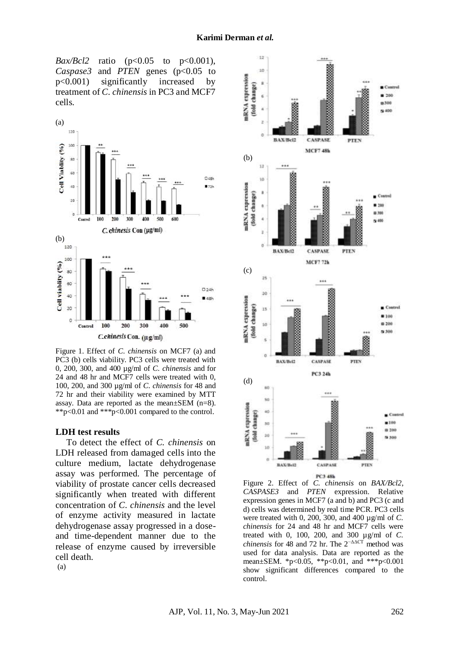*Bax/Bcl2* ratio (p<0.05 to p<0.001), *Caspase3* and *PTEN* genes (p<0.05 to p<0.001) significantly increased by treatment of *C. chinensis* in PC3 and MCF7 cells.



Figure 1. Effect of *C. chinensis* on MCF7 (a) and PC3 (b) cells viability. PC3 cells were treated with 0, 200, 300, and 400 µg/ml of *C. chinensis* and for 24 and 48 hr and MCF7 cells were treated with 0, 100, 200, and 300 µg/ml of *C. chinensis* for 48 and 72 hr and their viability were examined by MTT assay. Data are reported as the mean±SEM (n=8). \*\*p<0.01 and \*\*\*p<0.001 compared to the control.

#### **LDH test results**

To detect the effect of *C. chinensis* on LDH released from damaged cells into the culture medium, lactate dehydrogenase assay was performed. The percentage of viability of prostate cancer cells decreased significantly when treated with different concentration of *C. chinensis* and the level of enzyme activity measured in lactate dehydrogenase assay progressed in a doseand time-dependent manner due to the release of enzyme caused by irreversible cell death.



Figure 2. Effect of *C. chinensis* on *BAX/Bcl2*, *CASPASE3* and *PTEN* expression. Relative expression genes in MCF7 (a and b) and PC3 (c and d) cells was determined by real time PCR. PC3 cells were treated with 0, 200, 300, and 400 µg/ml of *C. chinensis* for 24 and 48 hr and MCF7 cells were treated with 0, 100, 200, and 300 µg/ml of *C. chinensis* for 48 and 72 hr. The  $2^{-\Delta\Delta}$  method was used for data analysis. Data are reported as the mean±SEM. \*p<0.05, \*\*p<0.01, and \*\*\*p<0.001 show significant differences compared to the control.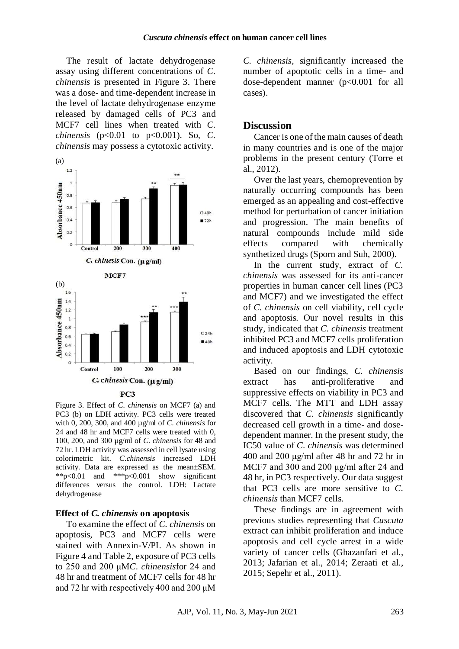The result of lactate dehydrogenase assay using different concentrations of *C. chinensis* is presented in [Figure 3.](http://www.ijnpnd.com/viewimage.asp?img=IntJNutrPharmacolNeurolDis_2014_4_4_224_139403_f3.jpg) There was a dose- and time-dependent increase in the level of lactate dehydrogenase enzyme released by damaged cells of PC3 and MCF7 cell lines when treated with *C. chinensis* (p<0.01 to p<0.001). So, *C. chinensis* may possess a cytotoxic activity.



Figure 3. Effect of *C. chinensis* on MCF7 (a) and PC3 (b) on LDH activity. PC3 cells were treated with 0, 200, 300, and 400 µg/ml of *C. chinensis* for 24 and 48 hr and MCF7 cells were treated with 0, 100, 200, and 300 µg/ml of *C. chinensis* for 48 and 72 hr. LDH activity was assessed in cell lysate using colorimetric kit. *C.chinensis* increased LDH activity. Data are expressed as the mean±SEM. \*\*p<0.01 and \*\*\*p<0.001 show significant differences versus the control. LDH: Lactate dehydrogenase

#### **Effect of** *C. chinensis* **on apoptosis**

To examine the effect of *C. chinensis* on apoptosis, PC3 and MCF7 cells were stained with Annexin-V/PI. As shown in Figure 4 and Table 2, exposure of PC3 cells to 250 and 200 μM*C. chinensis*for 24 and 48 hr and treatment of MCF7 cells for 48 hr and 72 hr with respectively 400 and 200 μM

*C. chinensis*, significantly increased the number of apoptotic cells in a time- and dose-dependent manner (p<0.001 for all cases).

### **Discussion**

Cancer is one of the main causes of death in many countries and is one of the major problems in the present century (Torre et al., 2012).

Over the last years, chemoprevention by naturally occurring compounds has been emerged as an appealing and cost-effective method for perturbation of cancer initiation and progression. The main benefits of natural compounds include mild side effects compared with chemically synthetized drugs (Sporn and Suh, 2000).

In the current study, extract of *C. chinensis* was assessed for its anti-cancer properties in human cancer cell lines (PC3 and MCF7) and we investigated the effect of *C. chinensis* on cell viability, cell cycle and apoptosis. Our novel results in this study, indicated that *C. chinensis* treatment inhibited PC3 and MCF7 cells proliferation and induced apoptosis and LDH cytotoxic activity.

Based on our findings, *C. chinensis* extract has anti-proliferative and suppressive effects on viability in PC3 and MCF7 cells. The MTT and LDH assay discovered that *C. chinensis* significantly decreased cell growth in a time- and dosedependent manner. In the present study, the IC50 value of *C. chinensis* was determined 400 and 200 μg/ml after 48 hr and 72 hr in MCF7 and 300 and 200 μg/ml after 24 and 48 hr, in PC3 respectively. Our data suggest that PC3 cells are more sensitive to *C. chinensis* than MCF7 cells.

These findings are in agreement with previous studies representing that *Cuscuta* extract can inhibit proliferation and induce apoptosis and cell cycle arrest in a wide variety of cancer cells (Ghazanfari et al., 2013; Jafarian et al., 2014; Zeraati et al., 2015; Sepehr et al., 2011).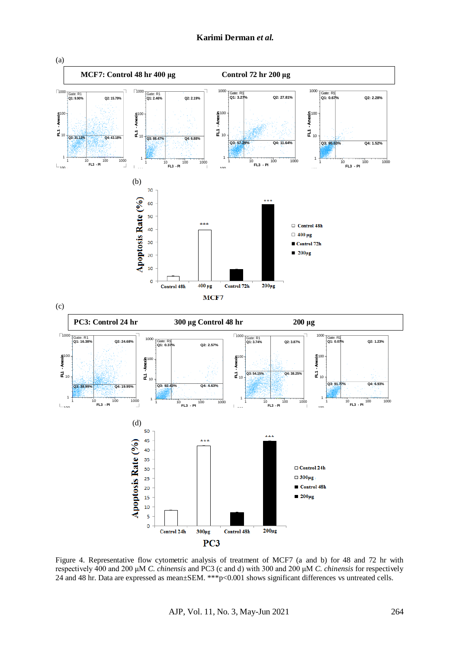

Figure 4. Representative flow cytometric analysis of treatment of MCF7 (a and b) for 48 and 72 hr with respectively 400 and 200 μM *C. chinensis* and PC3 (c and d) with 300 and 200 μM *C. chinensis* for respectively 24 and 48 hr. Data are expressed as mean±SEM. \*\*\*p<0.001 shows significant differences vs untreated cells.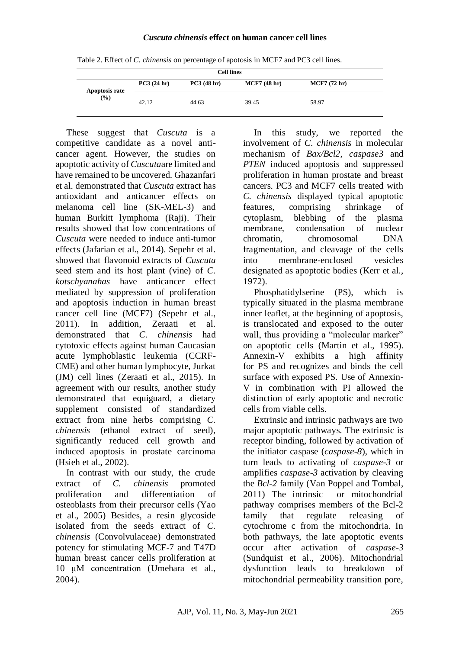#### *Cuscuta chinensis* **effect on human cancer cell lines**

Table 2. Effect of *C. chinensis* on percentage of apotosis in MCF7 and PC3 cell lines. **Cell lines PC3 (24 hr) PC3 (48 hr) MCF7 (48 hr) MCF7 (72 hr) Apoptosis rate**

42.12 44.63 39.45 58.97

These suggest that *Cuscuta* is a competitive candidate as a novel anticancer agent. However, the studies on apoptotic activity of *Cuscuta*are limited and have remained to be uncovered. Ghazanfari et al. demonstrated that *Cuscuta* extract has antioxidant and anticancer effects on melanoma cell line (SK-MEL-3) and human Burkitt lymphoma (Raji). Their results showed that low concentrations of *Cuscuta* were needed to induce anti-tumor effects (Jafarian et al., 2014). Sepehr et al. showed that flavonoid extracts of *Cuscuta* seed stem and its host plant (vine) of *C. kotschyanahas* have anticancer effect mediated by suppression of proliferation and apoptosis induction in human breast cancer cell line (MCF7) (Sepehr et al., 2011). In addition, Zeraati et al. demonstrated that *C. chinensis* had cytotoxic effects against human Caucasian acute lymphoblastic leukemia (CCRF-CME) and other human lymphocyte, Jurkat (JM) cell lines (Zeraati et al., 2015). In agreement with our results, another study demonstrated that equiguard, a dietary supplement consisted of standardized extract from nine herbs comprising *C. chinensis* (ethanol extract of seed), significantly reduced cell growth and induced apoptosis in prostate carcinoma (Hsieh et al., 2002).

**(%)**

In contrast with our study, the crude extract of *C. chinensis* promoted proliferation and differentiation of osteoblasts from their precursor cells (Yao et al., 2005) Besides, a resin glycoside isolated from the seeds extract of *C. chinensis* (Convolvulaceae) demonstrated potency for stimulating MCF-7 and T47D human breast cancer cells proliferation at 10 μM concentration (Umehara et al., 2004).

In this study, we reported the involvement of *C. chinensis* in molecular mechanism of *Bax/Bcl2*, *caspase3* and *PTEN* induced apoptosis and suppressed proliferation in human prostate and breast cancers. PC3 and MCF7 cells treated with *C. chinensis* displayed typical apoptotic features, comprising shrinkage of cytoplasm, blebbing of the plasma membrane, condensation of nuclear chromatin, chromosomal DNA fragmentation, and cleavage of the cells into membrane-enclosed vesicles designated as apoptotic bodies (Kerr et al., 1972).

Phosphatidylserine (PS), which is typically situated in the plasma membrane inner leaflet, at the beginning of apoptosis, is translocated and exposed to the outer wall, thus providing a "molecular marker" on apoptotic cells (Martin et al., 1995). Annexin-V exhibits a high affinity for PS and recognizes and binds the cell surface with exposed PS. Use of Annexin-V in combination with PI allowed the distinction of early apoptotic and necrotic cells from viable cells.

Extrinsic and intrinsic pathways are two major apoptotic pathways. The extrinsic is receptor binding, followed by activation of the initiator caspase (*caspase-8*), which in turn leads to activating of *caspase-3* or amplifies *caspase-3* activation by cleaving the *Bcl-2* family (Van Poppel and Tombal, 2011) The intrinsic or mitochondrial pathway comprises members of the Bcl-2 family that regulate releasing of cytochrome c from the mitochondria. In both pathways, the late apoptotic events occur after activation of *caspase-3* (Sundquist et al., 2006). Mitochondrial dysfunction leads to breakdown of mitochondrial permeability transition pore,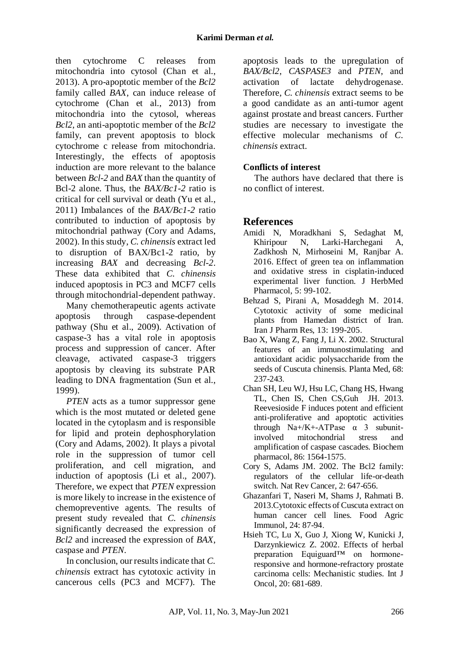then cytochrome C releases from mitochondria into cytosol (Chan et al., 2013). A pro-apoptotic member of the *Bcl2*  family called *BAX*, can induce release of cytochrome (Chan et al., 2013) from mitochondria into the cytosol, whereas *Bcl2*, an anti-apoptotic member of the *Bcl2* family, can prevent apoptosis to block cytochrome c release from mitochondria. Interestingly, the effects of apoptosis induction are more relevant to the balance between *Bcl-2* and *BAX* than the quantity of Bcl-2 alone. Thus, the *BAX/Bc1-2* ratio is critical for cell survival or death (Yu et al., 2011) Imbalances of the *BAX/Bc1-2* ratio contributed to induction of apoptosis by mitochondrial pathway (Cory and Adams, 2002). In this study, *C. chinensis* extract led to disruption of BAX/Bc1-2 ratio, by increasing *BAX* and decreasing *Bcl-2*. These data exhibited that *C. chinensis* induced apoptosis in PC3 and MCF7 cells through mitochondrial-dependent pathway.

Many chemotherapeutic agents activate apoptosis through caspase-dependent pathway (Shu et al., 2009). Activation of caspase-3 has a vital role in apoptosis process and suppression of cancer. After cleavage, activated caspase-3 triggers apoptosis by cleaving its substrate PAR leading to DNA fragmentation (Sun et al., 1999).

*PTEN* acts as a tumor suppressor gene which is the most mutated or deleted gene located in the cytoplasm and is responsible for lipid and protein dephosphorylation (Cory and Adams, 2002). It plays a pivotal role in the suppression of tumor cell proliferation, and cell migration, and induction of apoptosis (Li et al., 2007). Therefore, we expect that *PTEN* expression is more likely to increase in the existence of chemopreventive agents. The results of present study revealed that *C. chinensis* significantly decreased the expression of *Bcl2* and increased the expression of *BAX*, caspase and *PTEN*.

In conclusion, our results indicate that *C. chinensis* extract has cytotoxic activity in cancerous cells (PC3 and MCF7). The

apoptosis leads to the upregulation of *BAX/Bcl2*, *CASPASE3* and *PTEN*, and activation of lactate dehydrogenase. Therefore, *C. chinensis* extract seems to be a good candidate as an anti-tumor agent against prostate and breast cancers. Further studies are necessary to investigate the effective molecular mechanisms of *C. chinensis* extract.

# **Conflicts of interest**

The authors have declared that there is no conflict of interest.

# **References**

- Amidi N, Moradkhani S, Sedaghat M, Khiripour N, Larki-Harchegani A, Zadkhosh N, Mirhoseini M, Ranjbar A. 2016. Effect of green tea on inflammation and oxidative stress in cisplatin-induced experimental liver function. J HerbMed Pharmacol, 5: 99-102.
- Behzad S, Pirani A, Mosaddegh M. 2014. Cytotoxic activity of some medicinal plants from Hamedan district of Iran. Iran J Pharm Res, 13: 199-205.
- Bao X, Wang Z, Fang J, Li X. 2002. Structural features of an immunostimulating and antioxidant acidic polysaccharide from the seeds of Cuscuta chinensis. Planta Med, 68: 237-243.
- Chan SH, Leu WJ, Hsu LC, Chang HS, Hwang TL, Chen IS, Chen CS,Guh JH. 2013. Reevesioside F induces potent and efficient anti-proliferative and apoptotic activities through  $Na+ / K+ - ATP$ ase  $\alpha$  3 subunitinvolved mitochondrial stress and amplification of caspase cascades. Biochem pharmacol, 86: 1564-1575.
- Cory S, Adams JM. 2002. The Bcl2 family: regulators of the cellular life-or-death switch. Nat Rev Cancer, 2: 647-656.
- Ghazanfari T, Naseri M, Shams J, Rahmati B. 2013.Cytotoxic effects of Cuscuta extract on human cancer cell lines. Food Agric Immunol, 24: 87-94.
- Hsieh TC, Lu X, Guo J, Xiong W, Kunicki J, Darzynkiewicz Z. 2002. Effects of herbal preparation Equiguard™ on hormoneresponsive and hormone-refractory prostate carcinoma cells: Mechanistic studies. Int J Oncol, 20: 681-689.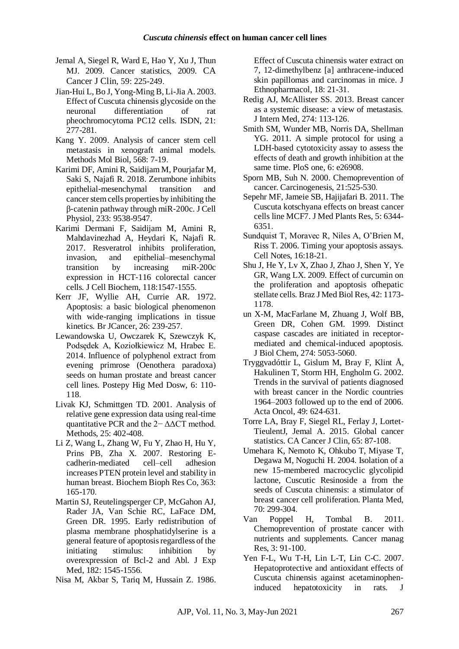- Jemal A, Siegel R, Ward E, Hao Y, Xu J, Thun MJ. 2009. Cancer statistics, 2009. CA Cancer J Clin, 59: 225-249.
- Jian-Hui L, Bo J, Yong-Ming B, Li-Jia A. 2003. Effect of Cuscuta chinensis glycoside on the neuronal differentiation of rat pheochromocytoma PC12 cells. ISDN, 21: 277-281.
- Kang Y. 2009. Analysis of cancer stem cell metastasis in xenograft animal models. Methods Mol Biol, 568: 7-19.
- Karimi DF, Amini R, Saidijam M, Pourjafar M, Saki S, Najafi R. 2018. Zerumbone inhibits epithelial‐mesenchymal transition and cancer stem cells properties by inhibiting the β‐catenin pathway through miR‐200c. J Cell Physiol, 233: 9538-9547.
- Karimi Dermani F, Saidijam M, Amini R, Mahdavinezhad A, Heydari K, Najafi R. 2017. Resveratrol inhibits proliferation, invasion, and epithelial–mesenchymal transition by increasing miR‐200c expression in HCT‐116 colorectal cancer cells. J Cell Biochem, 118:1547-1555.
- Kerr JF, Wyllie AH, Currie AR. 1972. Apoptosis: a basic biological phenomenon with wide-ranging implications in tissue kinetics. Br JCancer, 26: 239-257.
- Lewandowska U, Owczarek K, Szewczyk K, Podsędek A, Koziołkiewicz M, Hrabec E. 2014. Influence of polyphenol extract from evening primrose (Oenothera paradoxa) seeds on human prostate and breast cancer cell lines. Postepy Hig Med Dosw, 6: 110- 118.
- Livak KJ, Schmittgen TD. 2001. Analysis of relative gene expression data using real-time quantitative PCR and the 2− ΔΔCT method. Methods, 25: 402-408.
- Li Z, Wang L, Zhang W, Fu Y, Zhao H, Hu Y, Prins PB, Zha X. 2007. Restoring Ecadherin-mediated cell–cell adhesion increases PTEN protein level and stability in human breast. Biochem Bioph Res Co, 363: 165-170.
- Martin SJ, Reutelingsperger CP, McGahon AJ, Rader JA, Van Schie RC, LaFace DM, Green DR. 1995. Early redistribution of plasma membrane phosphatidylserine is a general feature of apoptosis regardless of the initiating stimulus: inhibition by overexpression of Bcl-2 and Abl. J Exp Med, 182: 1545-1556.
- Nisa M, Akbar S, Tariq M, Hussain Z. 1986.

Effect of Cuscuta chinensis water extract on 7, 12-dimethylbenz [a] anthracene-induced skin papillomas and carcinomas in mice. J Ethnopharmacol, 18: 21-31.

- Redig AJ, McAllister SS. 2013. Breast cancer as a systemic disease: a view of metastasis. J Intern Med, 274: 113-126.
- Smith SM, Wunder MB, Norris DA, Shellman YG. 2011. A simple protocol for using a LDH-based cytotoxicity assay to assess the effects of death and growth inhibition at the same time. PloS one, 6: e26908.
- Sporn MB, Suh N. 2000. Chemoprevention of cancer. Carcinogenesis, 21:525-530.
- Sepehr MF, Jameie SB, Hajijafari B. 2011. The Cuscuta kotschyana effects on breast cancer cells line MCF7. J Med Plants Res, 5: 6344- 6351.
- Sundquist T, Moravec R, Niles A, O'Brien M, Riss T. 2006. Timing your apoptosis assays. Cell Notes, 16:18-21.
- Shu J, He Y, Lv X, Zhao J, Zhao J, Shen Y, Ye GR, Wang LX. 2009. Effect of curcumin on the proliferation and apoptosis ofhepatic stellate cells. Braz J Med Biol Res, 42: 1173- 1178.
- un X-M, MacFarlane M, Zhuang J, Wolf BB, Green DR, Cohen GM. 1999. Distinct caspase cascades are initiated in receptormediated and chemical-induced apoptosis. J Biol Chem, 274: 5053-5060.
- Tryggvadóttir L, Gislum M, Bray F, Klint Å, Hakulinen T, Storm HH, Engholm G. 2002. Trends in the survival of patients diagnosed with breast cancer in the Nordic countries 1964–2003 followed up to the end of 2006. Acta Oncol, 49: 624-631.
- Torre LA, Bray F, Siegel RL, Ferlay J, Lortet‐ TieulentJ, Jemal A. 2015. Global cancer statistics. CA Cancer J Clin, 65: 87-108.
- Umehara K, Nemoto K, Ohkubo T, Miyase T, Degawa M, Noguchi H. 2004. Isolation of a new 15-membered macrocyclic glycolipid lactone, Cuscutic Resinoside a from the seeds of Cuscuta chinensis: a stimulator of breast cancer cell proliferation. Planta Med, 70: 299-304.
- Van Poppel H, Tombal B. 2011. Chemoprevention of prostate cancer with nutrients and supplements. Cancer manag Res, 3: 91-100.
- Yen F-L, Wu T-H, Lin L-T, Lin C-C. 2007. Hepatoprotective and antioxidant effects of Cuscuta chinensis against acetaminopheninduced hepatotoxicity in rats. J